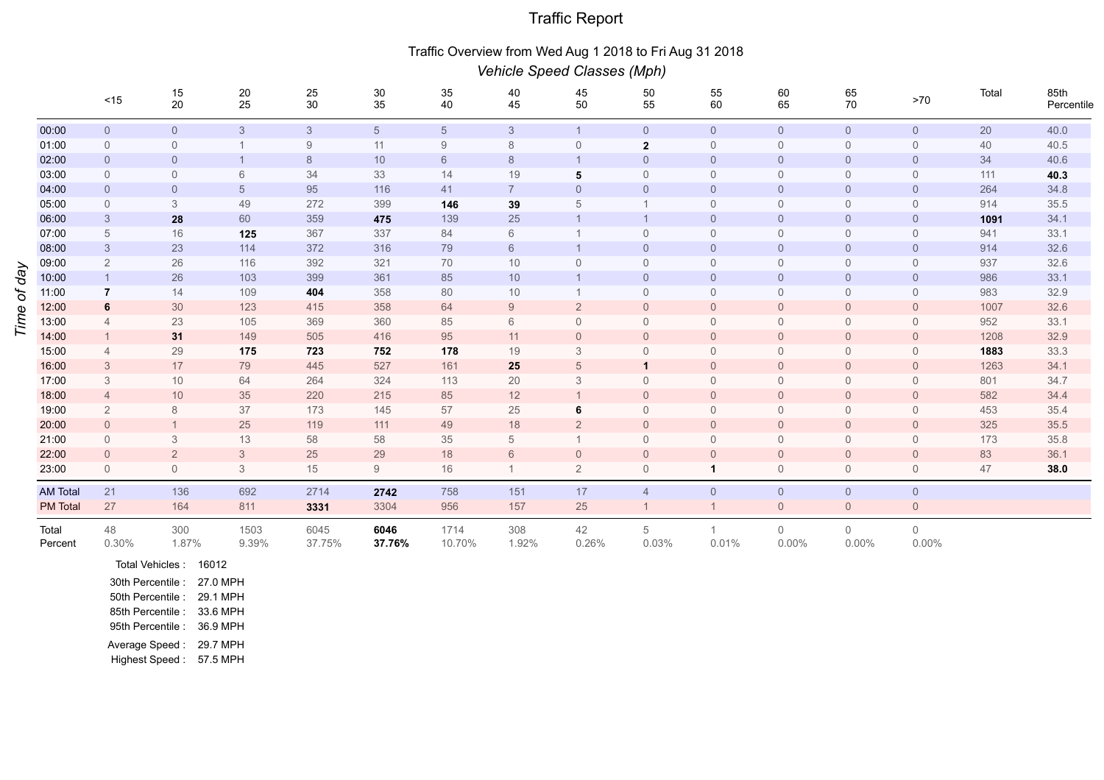## Traffic Report

## Traffic Overview from Wed Aug 1 2018 to Fri Aug 31 2018

|          |                  | Vehicle Speed Classes (Mph) |                     |                                         |                |                 |                |                |                |                     |                |                            |                            |                            |       |                    |
|----------|------------------|-----------------------------|---------------------|-----------------------------------------|----------------|-----------------|----------------|----------------|----------------|---------------------|----------------|----------------------------|----------------------------|----------------------------|-------|--------------------|
|          |                  | $<15$                       | 15<br>$20\,$        | $\begin{array}{c} 20 \\ 25 \end{array}$ | $25\,$<br>30   | 30<br>35        | 35<br>40       | 40<br>45       | 45<br>50       | 50<br>55            | 55<br>60       | 60<br>65                   | 65<br>70                   | $>70$                      | Total | 85th<br>Percentile |
|          | 00:00            | $\mathsf{O}\xspace$         | $\mathsf{O}\xspace$ | $\mathfrak{Z}$                          | $\mathcal{S}$  | $5\overline{)}$ | $\sqrt{5}$     | $\mathcal{S}$  | $\mathbf{1}$   | $\mathsf{O}\xspace$ | $\mathbf 0$    | $\overline{0}$             | $\overline{0}$             | $\mathsf{O}$               | 20    | 40.0               |
|          | 01:00            | $\mathbf 0$                 | $\mathbf 0$         |                                         | 9              | 11              | 9              | 8              | $\mathbf{0}$   | $\mathbf{2}$        | $\mathbf 0$    | $\mathbf 0$                | $\overline{0}$             | $\overline{0}$             | 40    | 40.5               |
|          | 02:00            | $\overline{0}$              | $\overline{0}$      | $\mathbf{1}$                            | 8              | 10              | 6              | 8              |                | $\overline{0}$      | $\overline{0}$ | $\overline{0}$             | $\overline{0}$             | $\overline{0}$             | 34    | 40.6               |
|          | 03:00            | $\overline{0}$              | $\mathbf 0$         | 6                                       | 34             | 33              | 14             | 19             | 5              | $\mathbf 0$         | $\overline{0}$ | $\overline{0}$             | $\overline{0}$             | $\overline{0}$             | 111   | 40.3               |
|          | 04:00            | $\overline{0}$              | $\overline{0}$      | $\sqrt{5}$                              | 95             | 116             | 41             | $\overline{7}$ | $\overline{0}$ | $\overline{0}$      | $\overline{0}$ | $\overline{0}$             | $\overline{0}$             | $\overline{0}$             | 264   | 34.8               |
|          | 05:00            | $\overline{0}$              | 3                   | 49                                      | 272            | 399             | 146            | 39             | 5              | $\mathbf{1}$        | $\Omega$       | $\overline{0}$             | $\overline{0}$             | $\overline{0}$             | 914   | 35.5               |
|          | 06:00            | $\mathbf{3}$                | 28                  | 60                                      | 359            | 475             | 139            | 25             |                | $\mathbf{1}$        | $\overline{0}$ | $\overline{0}$             | $\overline{0}$             | $\overline{0}$             | 1091  | 34.1               |
|          | 07:00            | $\,$ 5 $\,$                 | 16                  | 125                                     | 367            | 337             | 84             | 6              |                | $\mathbf 0$         | $\overline{0}$ | $\overline{0}$             | $\overline{0}$             | $\overline{0}$             | 941   | 33.1               |
| Vep<br>đ | 08:00            | $\mathbf{3}$                | $23\,$              | 114                                     | 372            | 316             | 79             | 6              |                | $\overline{0}$      | $\overline{0}$ | $\overline{0}$             | $\overline{0}$             | $\overline{0}$             | 914   | 32.6               |
|          | 09:00            | $\overline{2}$              | 26                  | 116                                     | 392            | 321             | 70             | 10             | $\mathbf{0}$   | $\mathbf 0$         | $\overline{0}$ | $\overline{0}$             | $\overline{0}$             | $\overline{0}$             | 937   | 32.6               |
|          | 10:00            | $\overline{1}$              | $26\,$              | 103                                     | 399            | 361             | 85             | 10             | $\mathbf{1}$   | $\overline{0}$      | $\overline{0}$ | $\overline{0}$             | $\overline{0}$             | $\overline{0}$             | 986   | 33.1               |
|          | 11:00            | $\overline{7}$              | 14                  | 109                                     | 404            | 358             | 80             | 10             |                | $\mathbf 0$         | $\overline{0}$ | $\overline{0}$             | $\overline{0}$             | $\overline{0}$             | 983   | 32.9               |
|          | 12:00            | 6                           | 30                  | 123                                     | 415            | 358             | 64             | 9              | $\overline{2}$ | $\overline{0}$      | $\overline{0}$ | $\overline{0}$             | $\overline{0}$             | $\overline{0}$             | 1007  | 32.6               |
| Ime      | 13:00            | $\overline{4}$              | 23                  | 105                                     | 369            | 360             | 85             | 6              | $\Omega$       | $\mathbf{0}$        | $\Omega$       | $\Omega$                   | $\overline{0}$             | $\overline{0}$             | 952   | 33.1               |
|          | 14:00            |                             | 31                  | 149                                     | 505            | 416             | 95             | 11             | $\overline{0}$ | $\overline{0}$      | $\overline{0}$ | $\overline{0}$             | $\overline{0}$             | $\overline{0}$             | 1208  | 32.9               |
|          | 15:00            | $\overline{4}$              | 29                  | 175                                     | 723            | 752             | 178            | 19             | 3              | $\mathbf{0}$        | $\overline{0}$ | $\overline{0}$             | $\overline{0}$             | $\overline{0}$             | 1883  | 33.3               |
|          | 16:00            | $\mathfrak{Z}$              | 17                  | 79                                      | 445            | 527             | 161            | 25             | 5              | $\mathbf{1}$        | $\overline{0}$ | $\overline{0}$             | $\overline{0}$             | $\overline{0}$             | 1263  | 34.1               |
|          | 17:00            | 3                           | 10                  | 64                                      | 264            | 324             | 113            | 20             | 3              | $\mathbf 0$         | $\Omega$       | $\mathbf{0}$               | $\overline{0}$             | $\mathbf 0$                | 801   | 34.7               |
|          | 18:00            | $\overline{4}$              | 10                  | $35\,$                                  | 220            | 215             | 85             | 12             | $\mathbf{1}$   | $\overline{0}$      | $\overline{0}$ | $\overline{0}$             | $\overline{0}$             | $\overline{0}$             | 582   | 34.4               |
|          | 19:00            | $\overline{2}$              | 8                   | 37                                      | 173            | 145             | 57             | 25             | 6              | $\mathbf{0}$        | $\Omega$       | $\overline{0}$             | $\overline{0}$             | $\overline{0}$             | 453   | 35.4               |
|          | 20:00            | $\overline{0}$              |                     | 25                                      | 119            | 111             | 49             | 18             | $\overline{2}$ | $\overline{0}$      | $\overline{0}$ | $\overline{0}$             | $\overline{0}$             | $\overline{0}$             | 325   | 35.5               |
|          | 21:00            | $\overline{0}$              | 3                   | 13                                      | 58             | 58              | 35             | 5              |                | $\mathbf{0}$        | $\Omega$       | $\Omega$                   | $\overline{0}$             | $\overline{0}$             | 173   | 35.8               |
|          | 22:00            | $\overline{0}$              | $\overline{2}$      | $\mathfrak{S}$                          | 25             | 29              | 18             | 6              | $\overline{0}$ | $\overline{0}$      | $\Omega$       | $\overline{0}$             | $\overline{0}$             | $\overline{0}$             | 83    | 36.1               |
|          | 23:00            | $\mathbf 0$                 | $\overline{0}$      | $\mathfrak{Z}$                          | 15             | 9               | 16             | $\mathbf{1}$   | $\overline{2}$ | $\mathbf 0$         | $\mathbf{1}$   | $\overline{0}$             | $\overline{0}$             | $\overline{0}$             | 47    | 38.0               |
|          | <b>AM Total</b>  | 21                          | 136                 | 692                                     | 2714           | 2742            | 758            | 151            | 17             | $\overline{4}$      | $\mathbf 0$    | $\overline{0}$             | $\overline{0}$             | $\overline{0}$             |       |                    |
|          | <b>PM</b> Total  | 27                          | 164                 | 811                                     | 3331           | 3304            | 956            | 157            | $25\,$         | $\mathbf{1}$        | $\overline{1}$ | $\mathsf{O}\xspace$        | $\overline{0}$             | $\mathsf{O}$               |       |                    |
|          | Total<br>Percent | 48<br>0.30%                 | 300<br>1.87%        | 1503<br>9.39%                           | 6045<br>37.75% | 6046<br>37.76%  | 1714<br>10.70% | 308<br>1.92%   | 42<br>0.26%    | 5<br>0.03%          | 0.01%          | $\overline{0}$<br>$0.00\%$ | $\overline{0}$<br>$0.00\%$ | $\overline{0}$<br>$0.00\%$ |       |                    |
|          |                  |                             |                     |                                         |                |                 |                |                |                |                     |                |                            |                            |                            |       |                    |

Total Vehicles : 16012 30th Percentile : 27.0 MPH 50th Percentile : 29.1 MPH 85th Percentile : 33.6 MPH 95th Percentile : 36.9 MPH Average Speed : 29.7 MPH Highest Speed : 57.5 MPH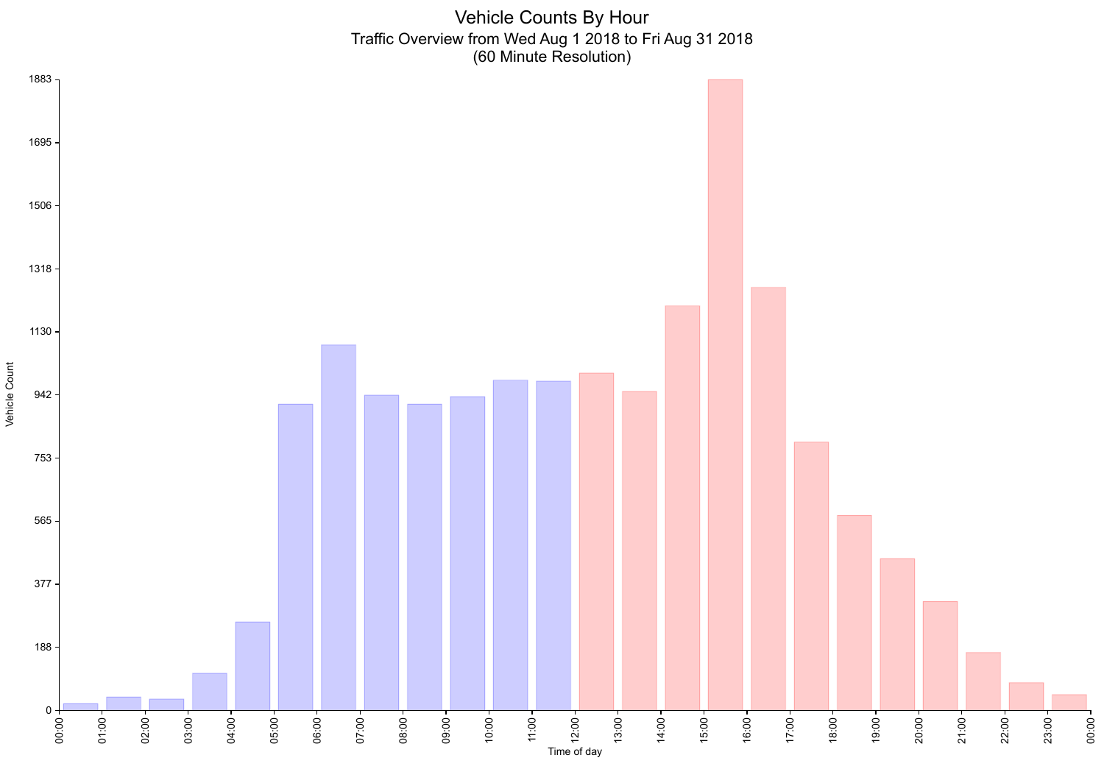Vehicle Counts By Hour Traffic Overview from Wed Aug 1 2018 to Fri Aug 31 2018 (60 Minute Resolution)

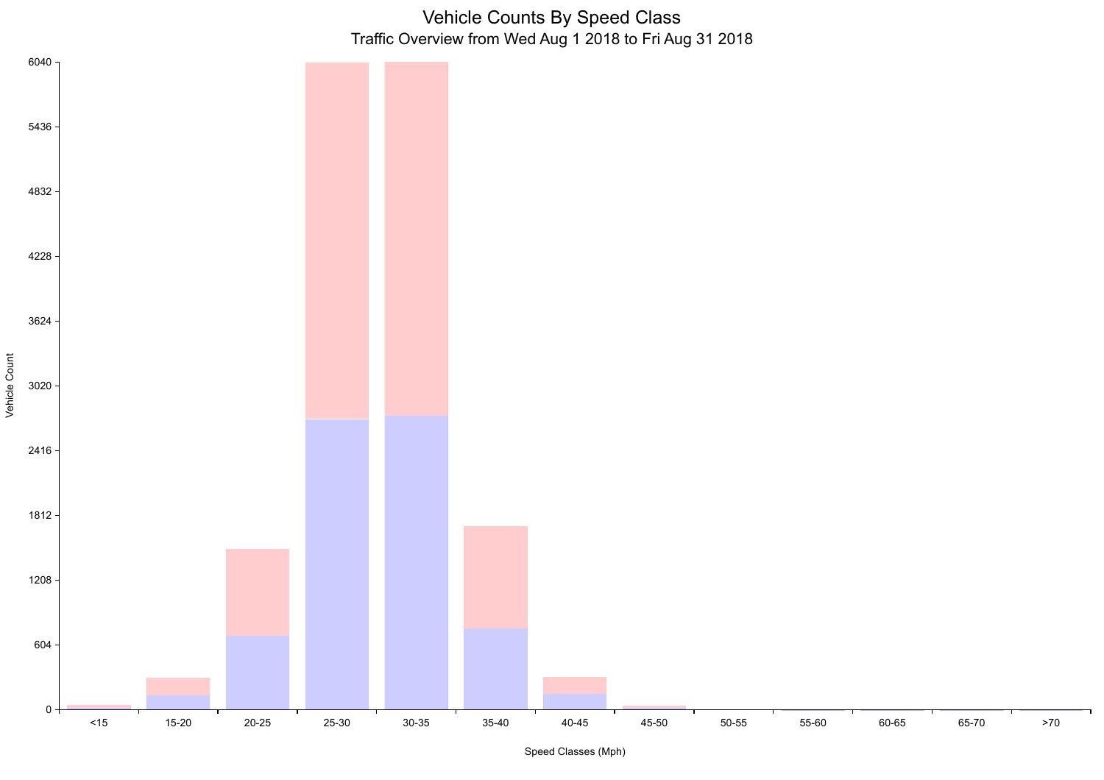## Vehicle Counts By Speed Class Traffic Overview from Wed Aug 1 2018 to Fri Aug 31 2018



Speed Classes (Mph)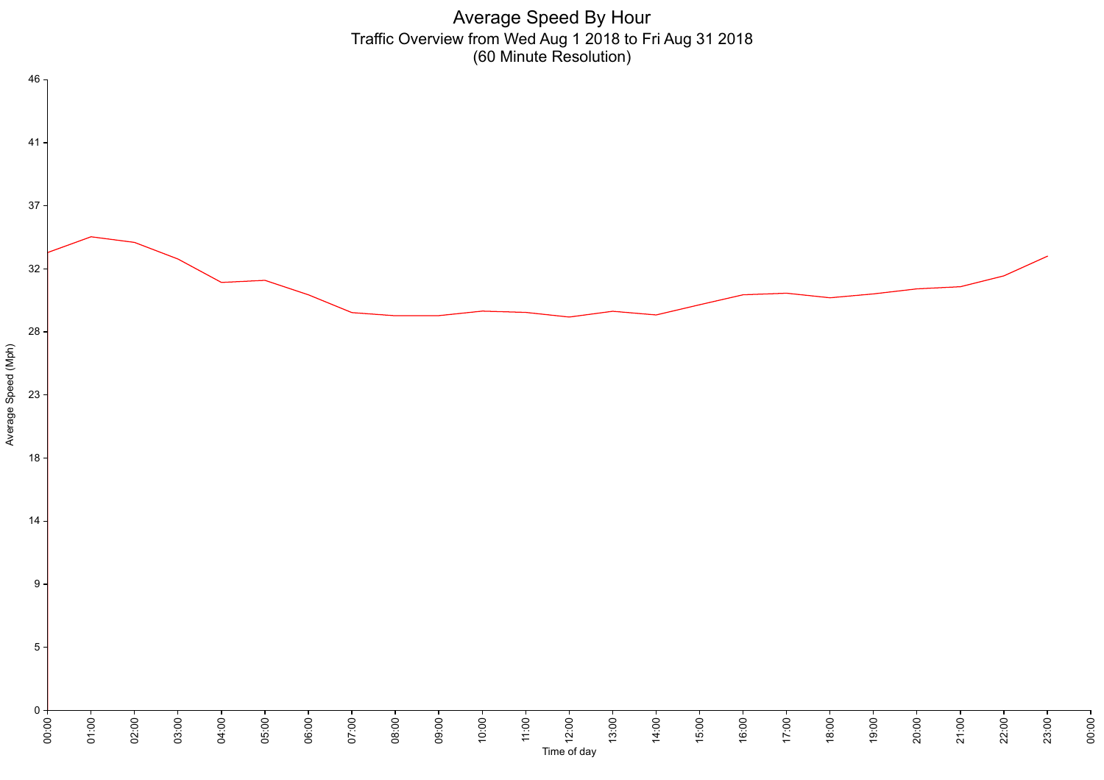Average Speed By Hour Traffic Overview from Wed Aug 1 2018 to Fri Aug 31 2018 (60 Minute Resolution)